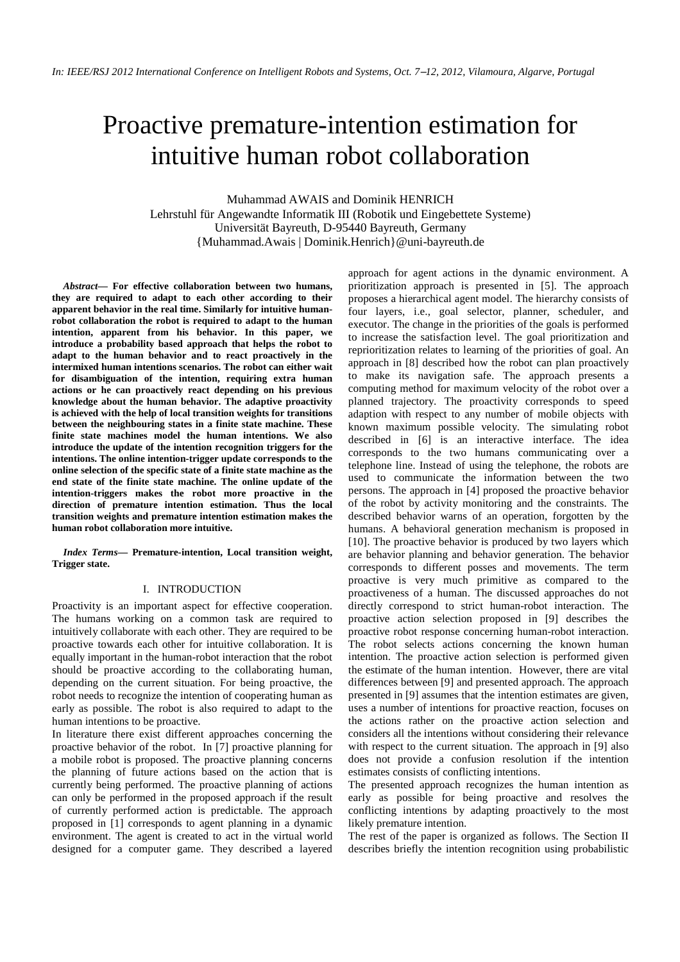# Proactive premature-intention estimation for intuitive human robot collaboration

Muhammad AWAIS and Dominik HENRICH Lehrstuhl für Angewandte Informatik III (Robotik und Eingebettete Systeme) Universität Bayreuth, D-95440 Bayreuth, Germany {Muhammad.Awais | Dominik.Henrich}@uni-bayreuth.de

*Abstract***— For effective collaboration between two humans, they are required to adapt to each other according to their apparent behavior in the real time. Similarly for intuitive humanrobot collaboration the robot is required to adapt to the human intention, apparent from his behavior. In this paper, we introduce a probability based approach that helps the robot to adapt to the human behavior and to react proactively in the intermixed human intentions scenarios. The robot can either wait for disambiguation of the intention, requiring extra human actions or he can proactively react depending on his previous knowledge about the human behavior. The adaptive proactivity is achieved with the help of local transition weights for transitions between the neighbouring states in a finite state machine. These finite state machines model the human intentions. We also introduce the update of the intention recognition triggers for the intentions. The online intention-trigger update corresponds to the online selection of the specific state of a finite state machine as the end state of the finite state machine. The online update of the intention-triggers makes the robot more proactive in the direction of premature intention estimation. Thus the local transition weights and premature intention estimation makes the human robot collaboration more intuitive.** 

*Index Terms***— Premature-intention, Local transition weight, Trigger state.** 

#### I. INTRODUCTION

Proactivity is an important aspect for effective cooperation. The humans working on a common task are required to intuitively collaborate with each other. They are required to be proactive towards each other for intuitive collaboration. It is equally important in the human-robot interaction that the robot should be proactive according to the collaborating human, depending on the current situation. For being proactive, the robot needs to recognize the intention of cooperating human as early as possible. The robot is also required to adapt to the human intentions to be proactive.

In literature there exist different approaches concerning the proactive behavior of the robot. In [7] proactive planning for a mobile robot is proposed. The proactive planning concerns the planning of future actions based on the action that is currently being performed. The proactive planning of actions can only be performed in the proposed approach if the result of currently performed action is predictable. The approach proposed in [1] corresponds to agent planning in a dynamic environment. The agent is created to act in the virtual world designed for a computer game. They described a layered

approach for agent actions in the dynamic environment. A prioritization approach is presented in [5]. The approach proposes a hierarchical agent model. The hierarchy consists of four layers, i.e., goal selector, planner, scheduler, and executor. The change in the priorities of the goals is performed to increase the satisfaction level. The goal prioritization and reprioritization relates to learning of the priorities of goal. An approach in [8] described how the robot can plan proactively to make its navigation safe. The approach presents a computing method for maximum velocity of the robot over a planned trajectory. The proactivity corresponds to speed adaption with respect to any number of mobile objects with known maximum possible velocity. The simulating robot described in [6] is an interactive interface. The idea corresponds to the two humans communicating over a telephone line. Instead of using the telephone, the robots are used to communicate the information between the two persons. The approach in [4] proposed the proactive behavior of the robot by activity monitoring and the constraints. The described behavior warns of an operation, forgotten by the humans. A behavioral generation mechanism is proposed in [10]. The proactive behavior is produced by two layers which are behavior planning and behavior generation. The behavior corresponds to different posses and movements. The term proactive is very much primitive as compared to the proactiveness of a human. The discussed approaches do not directly correspond to strict human-robot interaction. The proactive action selection proposed in [9] describes the proactive robot response concerning human-robot interaction. The robot selects actions concerning the known human intention. The proactive action selection is performed given the estimate of the human intention. However, there are vital differences between [9] and presented approach. The approach presented in [9] assumes that the intention estimates are given, uses a number of intentions for proactive reaction, focuses on the actions rather on the proactive action selection and considers all the intentions without considering their relevance with respect to the current situation. The approach in [9] also does not provide a confusion resolution if the intention estimates consists of conflicting intentions.

The presented approach recognizes the human intention as early as possible for being proactive and resolves the conflicting intentions by adapting proactively to the most likely premature intention.

The rest of the paper is organized as follows. The Section II describes briefly the intention recognition using probabilistic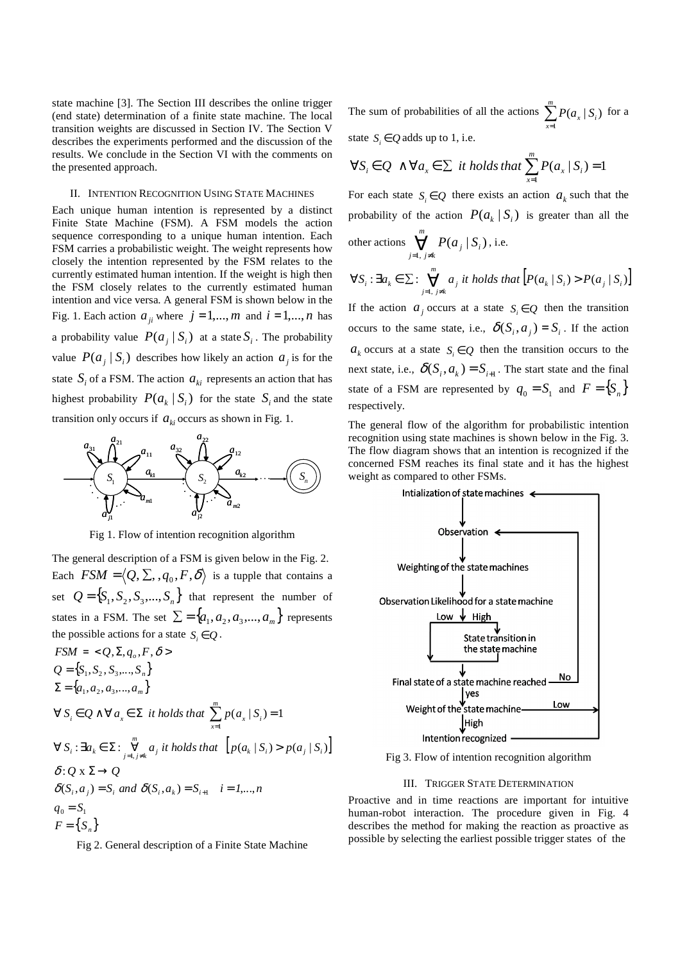state machine [3]. The Section III describes the online trigger (end state) determination of a finite state machine. The local transition weights are discussed in Section IV. The Section V describes the experiments performed and the discussion of the results. We conclude in the Section VI with the comments on the presented approach.

# II. INTENTION RECOGNITION USING STATE MACHINES

Each unique human intention is represented by a distinct Finite State Machine (FSM). A FSM models the action sequence corresponding to a unique human intention. Each FSM carries a probabilistic weight. The weight represents how closely the intention represented by the FSM relates to the currently estimated human intention. If the weight is high then the FSM closely relates to the currently estimated human intention and vice versa. A general FSM is shown below in the Fig. 1. Each action  $a_{ii}$  where  $j = 1, \dots, m$  and  $i = 1, \dots, n$  has a probability value  $P(a_j | S_i)$  at a state  $S_i$ . The probability value  $P(a_j | S_i)$  describes how likely an action  $a_j$  is for the state  $S_i$  of a FSM. The action  $a_{ki}$  represents an action that has highest probability  $P(a_k | S_i)$  for the state  $S_i$  and the state transition only occurs if  $a_{ki}$  occurs as shown in Fig. 1.



Fig 1. Flow of intention recognition algorithm

The general description of a FSM is given below in the Fig. 2. Each  $FSM = \langle Q, \Sigma, , q_0, F, \delta \rangle$  is a tupple that contains a set  $Q = \{S_1, S_2, S_3, \dots, S_n\}$  that represent the number of states in a FSM. The set  $\Sigma = \{a_1, a_2, a_3, ..., a_m\}$  represents the possible actions for a state  $S_i \in Q$ .

$$
FSM = \langle Q, \Sigma, q_o, F, \delta \rangle
$$
  
\n
$$
Q = \{S_1, S_2, S_3, \dots, S_n\}
$$
  
\n
$$
\Sigma = \{a_1, a_2, a_3, \dots, a_m\}
$$
  
\n
$$
\forall S_i \in Q \land \forall a_x \in \Sigma \text{ it holds that } \sum_{x=1}^m p(a_x | S_i) = 1
$$
  
\n
$$
\forall S_i : \exists a_k \in \Sigma : \sum_{j=1, j \neq k}^m a_j \text{ it holds that } [p(a_k | S_i) > p(a_j | S_i)]
$$
  
\n
$$
\delta : Q \times \Sigma \rightarrow Q
$$
  
\n
$$
\delta(S_i, a_j) = S_i \text{ and } \delta(S_i, a_k) = S_{i+1} \quad i = 1, \dots, n
$$
  
\n
$$
q_0 = S_1
$$
  
\n
$$
F = \{S_n\}
$$

Fig 2. General description of a Finite State Machine

The sum of probabilities of all the actions  $\sum_{x=1}^{m}$ *m*  $\sum_{x=1} P(a_x | S_i)$  $(a_{x} | S_{i})$  for a state  $S_i \in Q$  adds up to 1, i.e.

$$
\forall S_i \in Q \land \forall a_x \in \Sigma \text{ it holds that } \sum_{x=1}^{m} P(a_x | S_i) = 1
$$

For each state  $S_i \in Q$  there exists an action  $a_k$  such that the probability of the action  $P(a_k | S_i)$  is greater than all the

other actions 
$$
\bigvee_{j=1, j\neq k}^{m} P(a_j | S_i)
$$
, i.e.

$$
\forall S_i: \exists a_k \in \Sigma: \bigvee_{j=1, j \neq k}^m a_j \text{ it holds that } \Big[ P(a_k \mid S_i) > P(a_j \mid S_i) \Big]
$$

If the action  $a_j$  occurs at a state  $S_i \in Q$  then the transition occurs to the same state, i.e.,  $\delta(S_i, a_i) = S_i$ . If the action  $a_k$  occurs at a state  $S_i \in Q$  then the transition occurs to the next state, i.e.,  $\delta(S_i, a_k) = S_{i+1}$ . The start state and the final state of a FSM are represented by  $q_0 = S_1$  and  $F = \{S_n\}$ respectively.

The general flow of the algorithm for probabilistic intention recognition using state machines is shown below in the Fig. 3. The flow diagram shows that an intention is recognized if the concerned FSM reaches its final state and it has the highest weight as compared to other FSMs.



Fig 3. Flow of intention recognition algorithm

# III. TRIGGER STATE DETERMINATION

Proactive and in time reactions are important for intuitive human-robot interaction. The procedure given in Fig. 4 describes the method for making the reaction as proactive as possible by selecting the earliest possible trigger states of the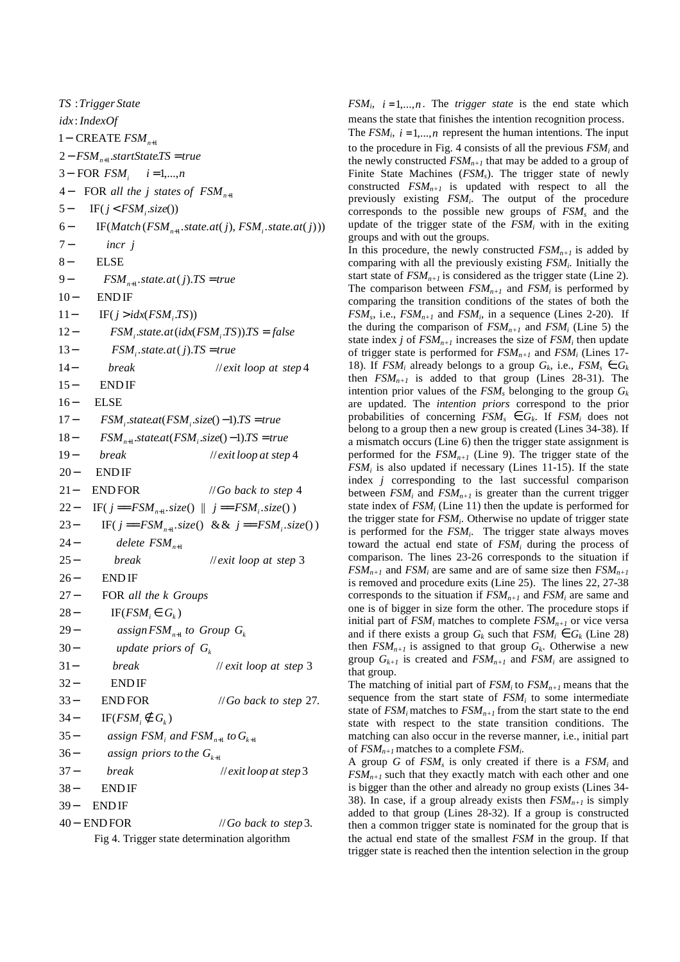40 – **ENDFOR** // *Go* back to step 3. **ENDIF ENDIF** 37 // 3 *break exit loop at step* 36 −  $35 -$ 34 – IF( $FSM_i \notin G_k$ ) 33 - **ENDFOR** // *Go* back to step 27. **ENDIF** 31 - break // exit loop at step 3 30 − 29 − 28 – IF( $FSM_i \in G_k$ ) 27 FOR *all the k Groups* **ENDIF** 25 - break // exit loop at step 3 24 − 23 – IF( $j = FSM_{n+1}.size()$  & &  $j = FSM_{i}.size()$ 22- IF( $j = FSM_{n+1}.size()$  ||  $j = FSM_{i}.size()$ ) 21– **ENDFOR** // Go back to step 4 END IF 19 - break // exit loop at step 4 18 -  $FSM_{n+1}.state: \text{att}(FSM_i.size() - 1).TS = true$  $FSM_i$ .*state.at*( $FSM_i$ .*size*( $)-1$ ).*TS* = *true* **ELSE** 15 ENDIF 14 - break // exit loop at step 4 13 -  $FSM_i.state.at(j).TS = true$ 12 -  $FSM_i$ .state.at( $idx(FSM_i, TS)$ ). $TS = false$ 11 – IF( $j > i dx$ (*FSM*<sub>*i*</sub>.*TS*)) **ENDIF** 9 -  $FSM_{n+1}.state.at(j).TS = true$ **ELSE** 7 − 6 – IF(*Match* (*FSM*<sub>n+1</sub>.state.at(*j*), *FSM*<sub>*i*</sub>.state.at(*j*))) 5 – IF( $j < FSM$ <sub>*i*</sub>  $size()$ ) 4– FOR all the *j* states of  $FSM_{n+1}$ 3– FOR  $FSM_i$  *i* = 1,...,*n* 2− *FSM*<sub>n+1</sub>.startState.TS = true 1− CREATE  $FSM_{n+1}$ : *idx IndexOf* : *TS Trigger State* assign priors to the  $G_{k+1}$ assign  $FSM$ <sub>*i*</sub> and  $FSM$ <sub>n+1</sub> to  $G$ <sub>k+1</sub>  $a$ ssign  $FSM$ <sub>n+1</sub> to Group  $G_k$ 1 *delete FSM n* + *update priors of G k incr j* 40 - ENDFOR  $39 38 37 33 32 31 27 26 25 21 20 19 16 15 14 10 8 6 4-$ Fig 4. Trigger state determination algorithm

*FSM*<sup>*i*</sup>,  $i = 1,...,n$ . The *trigger state* is the end state which means the state that finishes the intention recognition process.

The  $FSM_i$ ,  $i = 1,...,n$  represent the human intentions. The input to the procedure in Fig. 4 consists of all the previous *FSM<sup>i</sup>* and the newly constructed  $FSM_{n+1}$  that may be added to a group of Finite State Machines (*FSMs*). The trigger state of newly constructed *FSMn+1* is updated with respect to all the previously existing *FSM<sup>i</sup>* . The output of the procedure corresponds to the possible new groups of *FSM<sup>s</sup>* and the update of the trigger state of the  $FSM_i$  with in the exiting groups and with out the groups.

In this procedure, the newly constructed  $FSM_{n+1}$  is added by comparing with all the previously existing *FSM<sup>i</sup>* . Initially the start state of  $FSM_{n+1}$  is considered as the trigger state (Line 2). The comparison between  $FSM_{n+1}$  and  $FSM_i$  is performed by comparing the transition conditions of the states of both the  $FSM_s$ , i.e.,  $FSM_{n+1}$  and  $FSM_i$ , in a sequence (Lines 2-20). If the during the comparison of  $FSM_{n+1}$  and  $FSM_i$  (Line 5) the state index *j* of  $FSM_{n+1}$  increases the size of  $FSM_i$  then update of trigger state is performed for *FSMn+1* and *FSM<sup>i</sup>* (Lines 17- 18). If  $FSM_i$  already belongs to a group  $G_k$ , i.e.,  $FSM_s \in G_k$ then  $FSM_{n+1}$  is added to that group (Lines 28-31). The intention prior values of the  $FSM_s$  belonging to the group  $G_k$ are updated. The *intention priors* correspond to the prior probabilities of concerning  $FSM_s \in G_k$ . If  $FSM_i$  does not belong to a group then a new group is created (Lines 34-38). If a mismatch occurs (Line 6) then the trigger state assignment is performed for the  $FSM_{n+1}$  (Line 9). The trigger state of the  $FSM_i$  is also updated if necessary (Lines 11-15). If the state index *j* corresponding to the last successful comparison between  $FSM_i$  and  $FSM_{n+1}$  is greater than the current trigger state index of  $FSM_i$  (Line 11) then the update is performed for the trigger state for *FSM<sup>i</sup>* . Otherwise no update of trigger state is performed for the *FSM<sup>i</sup>* . The trigger state always moves toward the actual end state of *FSM<sup>i</sup>* during the process of comparison. The lines 23-26 corresponds to the situation if  $FSM_{n+1}$  and  $FSM_i$  are same and are of same size then  $FSM_{n+1}$ is removed and procedure exits (Line 25). The lines 22, 27-38 corresponds to the situation if  $FSM_{n+1}$  and  $FSM_i$  are same and one is of bigger in size form the other. The procedure stops if initial part of  $FSM_i$  matches to complete  $FSM_{n+1}$  or vice versa and if there exists a group  $G_k$  such that  $FSM_i \in G_k$  (Line 28) then  $FSM_{n+1}$  is assigned to that group  $G_k$ . Otherwise a new group  $G_{k+1}$  is created and  $FSM_{n+1}$  and  $FSM_i$  are assigned to that group.

The matching of initial part of  $FSM_i$  to  $FSM_{n+1}$  means that the sequence from the start state of *FSM<sup>i</sup>* to some intermediate state of  $FSM_i$  matches to  $FSM_{n+1}$  from the start state to the end state with respect to the state transition conditions. The matching can also occur in the reverse manner, i.e., initial part of *FSMn+1* matches to a complete *FSM<sup>i</sup>* .

A group *G* of *FSM<sup>s</sup>* is only created if there is a *FSM<sup>i</sup>* and  $FSM_{n+1}$  such that they exactly match with each other and one is bigger than the other and already no group exists (Lines 34- 38). In case, if a group already exists then  $FSM_{n+1}$  is simply added to that group (Lines 28-32). If a group is constructed then a common trigger state is nominated for the group that is the actual end state of the smallest *FSM* in the group. If that trigger state is reached then the intention selection in the group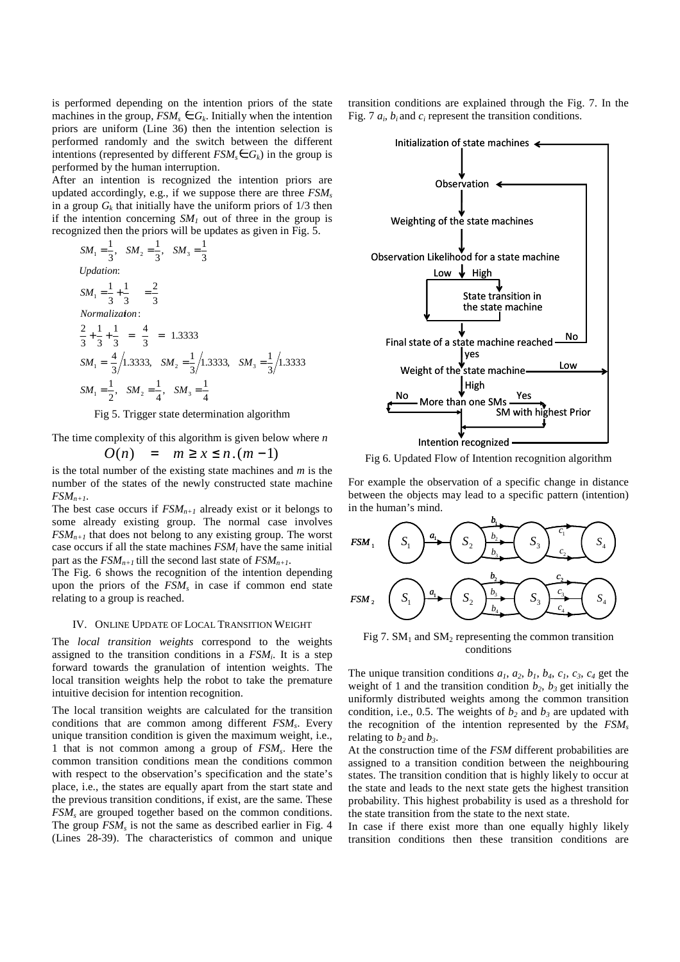is performed depending on the intention priors of the state machines in the group,  $FSM_s \in G_k$ . Initially when the intention priors are uniform (Line 36) then the intention selection is performed randomly and the switch between the different intentions (represented by different  $FSM<sub>s</sub> \in G<sub>k</sub>$ ) in the group is performed by the human interruption.

After an intention is recognized the intention priors are updated accordingly, e.g., if we suppose there are three *FSM<sup>s</sup>* in a group  $G_k$  that initially have the uniform priors of  $1/3$  then if the intention concerning  $SM<sub>1</sub>$  out of three in the group is recognized then the priors will be updates as given in Fig. 5.

$$
SM_{1} = \frac{1}{3}, SM_{2} = \frac{1}{3}, SM_{3} = \frac{1}{3}
$$
  
\n*Updation:*  
\n
$$
SM_{1} = \frac{1}{3} + \frac{1}{3} = \frac{2}{3}
$$
  
\n*Normalization:*  
\n
$$
\frac{2}{3} + \frac{1}{3} + \frac{1}{3} = \frac{4}{3} = 1.3333
$$
  
\n
$$
SM_{1} = \frac{4}{3}/1.3333, SM_{2} = \frac{1}{3}/1.3333, SM_{3} = \frac{1}{3}/1.3333
$$
  
\n
$$
SM_{1} = \frac{1}{2}, SM_{2} = \frac{1}{4}, SM_{3} = \frac{1}{4}
$$

Fig 5. Trigger state determination algorithm

The time complexity of this algorithm is given below where *n* 

*O*(*n*) =  $m \ge x \le n.(m-1)$ 

is the total number of the existing state machines and *m* is the number of the states of the newly constructed state machine  $FSM_{n+1}$ .

The best case occurs if  $FSM_{n+1}$  already exist or it belongs to some already existing group. The normal case involves  $FSM_{n+1}$  that does not belong to any existing group. The worst case occurs if all the state machines *FSM<sup>i</sup>* have the same initial part as the  $FSM_{n+1}$  till the second last state of  $FSM_{n+1}$ .

The Fig. 6 shows the recognition of the intention depending upon the priors of the *FSM<sup>s</sup>* in case if common end state relating to a group is reached.

### IV. ONLINE UPDATE OF LOCAL TRANSITION WEIGHT

The *local transition weights* correspond to the weights assigned to the transition conditions in a *FSM<sup>i</sup>* . It is a step forward towards the granulation of intention weights. The local transition weights help the robot to take the premature intuitive decision for intention recognition.

The local transition weights are calculated for the transition conditions that are common among different *FSM<sup>s</sup>* . Every unique transition condition is given the maximum weight, i.e., 1 that is not common among a group of *FSM<sup>s</sup>* . Here the common transition conditions mean the conditions common with respect to the observation's specification and the state's place, i.e., the states are equally apart from the start state and the previous transition conditions, if exist, are the same. These *FSMs* are grouped together based on the common conditions. The group *FSM<sup>s</sup>* is not the same as described earlier in Fig. 4 (Lines 28-39). The characteristics of common and unique

transition conditions are explained through the Fig. 7. In the Fig. 7  $a_i$ ,  $b_i$  and  $c_i$  represent the transition conditions.



Fig 6. Updated Flow of Intention recognition algorithm

For example the observation of a specific change in distance between the objects may lead to a specific pattern (intention) in the human's mind.



Fig 7.  $SM<sub>1</sub>$  and  $SM<sub>2</sub>$  representing the common transition conditions

The unique transition conditions  $a_1$ ,  $a_2$ ,  $b_1$ ,  $b_4$ ,  $c_1$ ,  $c_3$ ,  $c_4$  get the weight of 1 and the transition condition  $b_2$ ,  $b_3$  get initially the uniformly distributed weights among the common transition condition, i.e., 0.5. The weights of  $b_2$  and  $b_3$  are updated with the recognition of the intention represented by the *FSM<sup>s</sup>* relating to  $b_2$  and  $b_3$ .

At the construction time of the *FSM* different probabilities are assigned to a transition condition between the neighbouring states. The transition condition that is highly likely to occur at the state and leads to the next state gets the highest transition probability. This highest probability is used as a threshold for the state transition from the state to the next state.

In case if there exist more than one equally highly likely transition conditions then these transition conditions are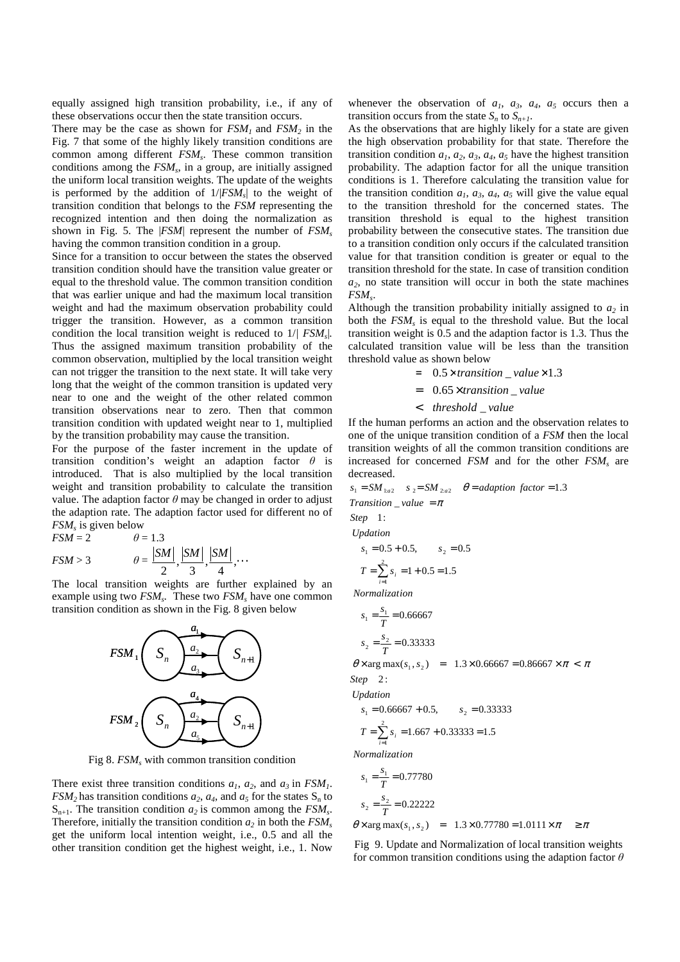equally assigned high transition probability, i.e., if any of these observations occur then the state transition occurs.

There may be the case as shown for  $FSM_1$  and  $FSM_2$  in the Fig. 7 that some of the highly likely transition conditions are common among different *FSM<sup>s</sup>* . These common transition conditions among the *FSM<sup>s</sup>* , in a group, are initially assigned the uniform local transition weights. The update of the weights is performed by the addition of 1/|*FSM<sup>s</sup>* | to the weight of transition condition that belongs to the *FSM* representing the recognized intention and then doing the normalization as shown in Fig. 5. The |*FSM*| represent the number of *FSM<sup>s</sup>* having the common transition condition in a group.

Since for a transition to occur between the states the observed transition condition should have the transition value greater or equal to the threshold value. The common transition condition that was earlier unique and had the maximum local transition weight and had the maximum observation probability could trigger the transition. However, as a common transition condition the local transition weight is reduced to 1/*| FSM<sup>s</sup>* |. Thus the assigned maximum transition probability of the common observation, multiplied by the local transition weight can not trigger the transition to the next state. It will take very long that the weight of the common transition is updated very near to one and the weight of the other related common transition observations near to zero. Then that common transition condition with updated weight near to 1, multiplied by the transition probability may cause the transition.

For the purpose of the faster increment in the update of transition condition's weight an adaption factor *θ* is introduced. That is also multiplied by the local transition weight and transition probability to calculate the transition value. The adaption factor  $\theta$  may be changed in order to adjust the adaption rate. The adaption factor used for different no of *FSM<sup>s</sup>* is given below

$$
FSM = 2
$$
  
\n
$$
FSM > 3
$$
  
\n
$$
\theta = \frac{|SM|}{2}, \frac{|SM|}{3}, \frac{|SM|}{4}, \dots
$$

The local transition weights are further explained by an example using two *FSM<sup>s</sup> .* These two *FSM<sup>s</sup>* have one common transition condition as shown in the Fig. 8 given below



Fig 8. *FSM<sup>s</sup>* with common transition condition

There exist three transition conditions  $a_1$ ,  $a_2$ , and  $a_3$  in  $FSM_1$ .  $FSM<sub>2</sub>$  has transition conditions  $a<sub>2</sub>$ ,  $a<sub>4</sub>$ , and  $a<sub>5</sub>$  for the states  $S<sub>n</sub>$  to  $S_{n+1}$ . The transition condition  $a_2$  is common among the  $FSM_s$ . Therefore, initially the transition condition  $a_2$  in both the  $FSM_s$ get the uniform local intention weight, i.e., 0.5 and all the other transition condition get the highest weight, i.e., 1. Now

whenever the observation of  $a_1$ ,  $a_3$ ,  $a_4$ ,  $a_5$  occurs then a transition occurs from the state  $S_n$  to  $S_{n+1}$ .

As the observations that are highly likely for a state are given the high observation probability for that state. Therefore the transition condition  $a_1, a_2, a_3, a_4, a_5$  have the highest transition probability. The adaption factor for all the unique transition conditions is 1. Therefore calculating the transition value for the transition condition  $a_1$ ,  $a_3$ ,  $a_4$ ,  $a_5$  will give the value equal to the transition threshold for the concerned states. The transition threshold is equal to the highest transition probability between the consecutive states. The transition due to a transition condition only occurs if the calculated transition value for that transition condition is greater or equal to the transition threshold for the state. In case of transition condition  $a_2$ , no state transition will occur in both the state machines *FSM<sup>s</sup>* .

Although the transition probability initially assigned to  $a_2$  in both the *FSM<sup>s</sup>* is equal to the threshold value. But the local transition weight is 0.5 and the adaption factor is 1.3. Thus the calculated transition value will be less than the transition threshold value as shown below

- $= 0.5 \times transition$  *value* $\times 1.3$
- $= 0.65 \times transition$ <sub>*value*</sub>
- < threshold \_value

If the human performs an action and the observation relates to one of the unique transition condition of a *FSM* then the local transition weights of all the common transition conditions are increased for concerned *FSM* and for the other *FSM<sup>s</sup>* are decreased.

$$
s_1 = SM_{1:a2} \t s_2 = SM_{2:a2} \t \theta = adaptation factor = 1.3
$$
  
Transition \_ value =  $\pi$   
Step 1:  
Update  

$$
s_1 = 0.5 + 0.5, \t s_2 = 0.5
$$

$$
T = \sum_{i=1}^{3} s_i = 1 + 0.5 = 1.5
$$

*Normalization*

$$
s_1 = \frac{s_1}{T} = 0.66667
$$
  

$$
s_2 = \frac{s_2}{T} = 0.33333
$$

 $\theta \times \arg \max(s_1, s_2) = 1.3 \times 0.66667 = 0.86667 \times \pi < \pi$ Step 2:

*Updation*

$$
s_1 = 0.66667 + 0.5, \t s_2 = 0.33333
$$

$$
T = \sum_{i=1}^{2} s_i = 1.667 + 0.33333 = 1.5
$$

*Normalization*

$$
s_1 = \frac{s_1}{T} = 0.77780
$$
  
\n
$$
s_2 = \frac{s_2}{T} = 0.22222
$$
  
\n
$$
\theta \times \arg \max(s_1, s_2) = 1.3 \times 0.77780 = 1.0111 \times \pi \ge \pi
$$

Fig 9. Update and Normalization of local transition weights for common transition conditions using the adaption factor *θ*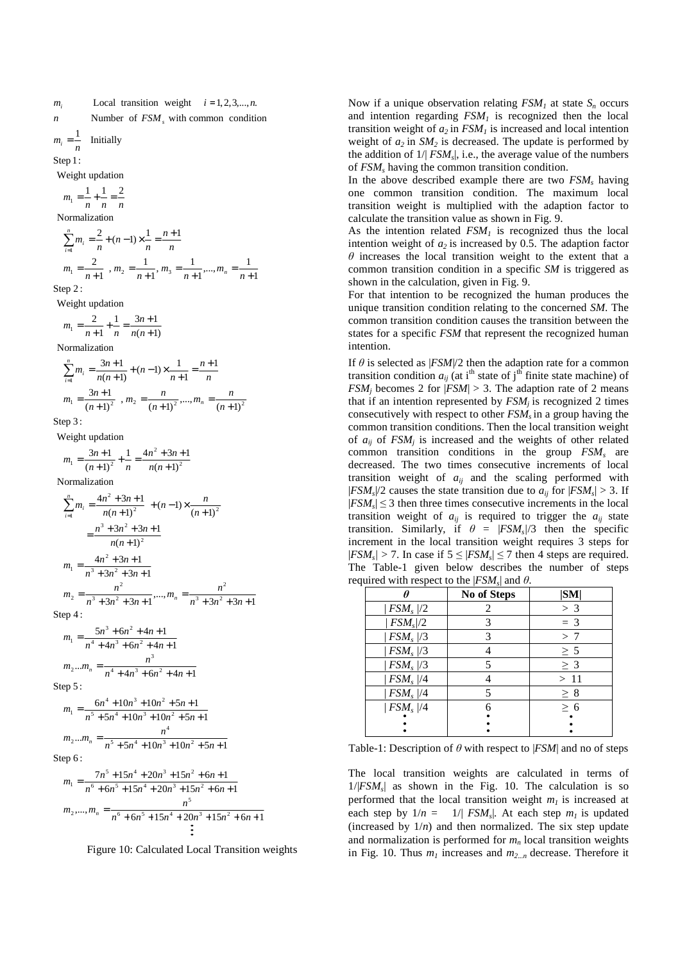*n* **Number** of  $FSM<sub>s</sub>$  with common condition  $m_i$  Local transition weight  $i = 1, 2, 3, \dots, n$ . *i*

**Initially**  $m_i =$ *n*

Step 1:

Weight update  
\n
$$
m_1 = \frac{1}{n} + \frac{1}{n} = \frac{2}{n}
$$
\nNormalization

\n
$$
\sum_{i=1}^{n} m_i = \frac{2}{n} + (n-1) \times \frac{1}{n} = \frac{n+1}{n}
$$
\n
$$
m_1 = \frac{2}{n+1}, m_2 = \frac{1}{n+1}, m_3 = \frac{1}{n+1}, \dots, m_n = \frac{1}{n+1}
$$
\nThen 21

Step 2:

Weight updation

 $(n+1)$ 1  $3n + 1$ 1  $n_1 = \frac{2}{n+1} + \frac{1}{n} = \frac{3n+1}{n(n+1)}$  $=\frac{2}{n+1} + \frac{1}{n} = \frac{3n+1}{n(n+1)}$ *n*  $m_1 = \frac{2}{n+1} + \frac{1}{n}$ 

Normalization

$$
\sum_{i=1}^{n} m_i = \frac{3n+1}{n(n+1)} + (n-1) \times \frac{1}{n+1} = \frac{n+1}{n}
$$
  
\n
$$
m_1 = \frac{3n+1}{(n+1)^2}, m_2 = \frac{n}{(n+1)^2}, \dots, m_n = \frac{n}{(n+1)^2}
$$

Step 3:

1  $4n^2 + 3n + 1$  $\frac{3n+1}{n+1^2} + \frac{1}{n} = \frac{4n^2 + 3n}{n(n+1)^2}$ Weight updation 2  $\frac{n+1}{(n+1)^2} + \frac{1}{n} = \frac{4n^2 + 3n + 1}{n(n+1)^2}$  $=\frac{3n+1}{(n+1)^2} + \frac{1}{n} = \frac{4n^2}{n(n+1)}$  $n^2 + 3n$  $m_1 = \frac{3n}{2}$ 

$$
m_1 = (n+1)^2
$$
  $n = n(n+1)$ 

Normalization

$$
\sum_{i=1}^{n} m_i = \frac{4n^2 + 3n + 1}{n(n+1)^2} + (n-1) \times \frac{n}{(n+1)^2}
$$

$$
= \frac{n^3 + 3n^2 + 3n + 1}{n(n+1)^2}
$$

$$
m_1 = \frac{4n^2 + 3n + 1}{n^3 + 3n^2 + 3n + 1}
$$

$$
m_2 = \frac{n^2}{n^3 + 3n^2 + 3n + 1}, \dots, m_n = \frac{n^2}{n^3 + 3n^2 + 3n + 1}
$$

Step  $4:$ 

$$
m_1 = \frac{5n^3 + 6n^2 + 4n + 1}{n^4 + 4n^3 + 6n^2 + 4n + 1}
$$
  

$$
m_2...m_n = \frac{n^3}{n^4 + 4n^3 + 6n^2 + 4n + 1}
$$

Step  $5:$ 

$$
m_1 = \frac{6n^4 + 10n^3 + 10n^2 + 5n + 1}{n^5 + 5n^4 + 10n^3 + 10n^2 + 5n + 1}
$$
  
\n
$$
m_2...m_n = \frac{n^4}{n^5 + 5n^4 + 10n^3 + 10n^2 + 5n + 1}
$$

Step 6:

$$
m_1 = \frac{7n^5 + 15n^4 + 20n^3 + 15n^2 + 6n + 1}{n^6 + 6n^5 + 15n^4 + 20n^3 + 15n^2 + 6n + 1}
$$
  
\n
$$
m_2, ..., m_n = \frac{n^5}{n^6 + 6n^5 + 15n^4 + 20n^3 + 15n^2 + 6n + 1}
$$
  
\n
$$
\vdots
$$

Figure 10: Calculated Local Transition weights

Now if a unique observation relating  $FSM<sub>1</sub>$  at state  $S<sub>n</sub>$  occurs and intention regarding *FSM1* is recognized then the local transition weight of  $a_2$  in  $FSM<sub>1</sub>$  is increased and local intention weight of  $a_2$  in  $SM_2$  is decreased. The update is performed by the addition of  $1/|FSM_s|$ , i.e., the average value of the numbers of *FSM<sup>s</sup>* having the common transition condition.

In the above described example there are two *FSM<sup>s</sup>* having one common transition condition. The maximum local transition weight is multiplied with the adaption factor to calculate the transition value as shown in Fig. 9.

As the intention related  $FSM<sub>1</sub>$  is recognized thus the local intention weight of  $a_2$  is increased by 0.5. The adaption factor *θ* increases the local transition weight to the extent that a common transition condition in a specific *SM* is triggered as shown in the calculation, given in Fig. 9.

For that intention to be recognized the human produces the unique transition condition relating to the concerned *SM*. The common transition condition causes the transition between the states for a specific *FSM* that represent the recognized human intention.

If  $\theta$  is selected as  $|FSM|/2$  then the adaption rate for a common transition condition  $a_{ij}$  (at i<sup>th</sup> state of j<sup>th</sup> finite state machine) of *FSM<sub>j</sub>* becomes 2 for  $|FSM| > 3$ . The adaption rate of 2 means that if an intention represented by *FSMj* is recognized 2 times consecutively with respect to other *FSMs* in a group having the common transition conditions. Then the local transition weight of  $a_{ij}$  of  $FSM_j$  is increased and the weights of other related common transition conditions in the group *FSM<sup>s</sup>* are decreased. The two times consecutive increments of local transition weight of  $a_{ij}$  and the scaling performed with  $|FSM_s|/2$  causes the state transition due to  $a_{ij}$  for  $|FSM_s| > 3$ . If  $|FSM_s| \leq 3$  then three times consecutive increments in the local transition weight of  $a_{ij}$  is required to trigger the  $a_{ij}$  state transition. Similarly, if  $\theta = |FSM_s|/3$  then the specific increment in the local transition weight requires 3 steps for  $|FSM_s| > 7$ . In case if  $5 \le |FSM_s| \le 7$  then 4 steps are required. The Table-1 given below describes the number of steps required with respect to the |*FSM<sup>s</sup>* | and *θ*.

|             | No of Steps | SM       |
|-------------|-------------|----------|
| $ FSM_s /2$ |             | $>$ 3    |
| $FSM_s$ //2 |             | $=$ 3    |
| $FSM_s$ //3 |             | > 7      |
| $FSM_s$ //3 |             | $\geq 5$ |
| $FSM_s$ //3 |             | $\geq$ 3 |
| $FSM_s$ //4 |             | >11      |
| $FSM_s$ //4 |             | $\geq 8$ |
| $ FSM_s /4$ |             | > 6      |
|             |             |          |
|             |             |          |

Table-1: Description of *θ* with respect to |*FSM*| and no of steps

The local transition weights are calculated in terms of  $1/|FSM_s|$  as shown in the Fig. 10. The calculation is so performed that the local transition weight  $m<sub>l</sub>$  is increased at each step by  $1/n = 1/|FSM_s|$ . At each step  $m_l$  is updated (increased by  $1/n$ ) and then normalized. The six step update and normalization is performed for *m<sup>n</sup>* local transition weights in Fig. 10. Thus *m1* increases and *m2...n* decrease. Therefore it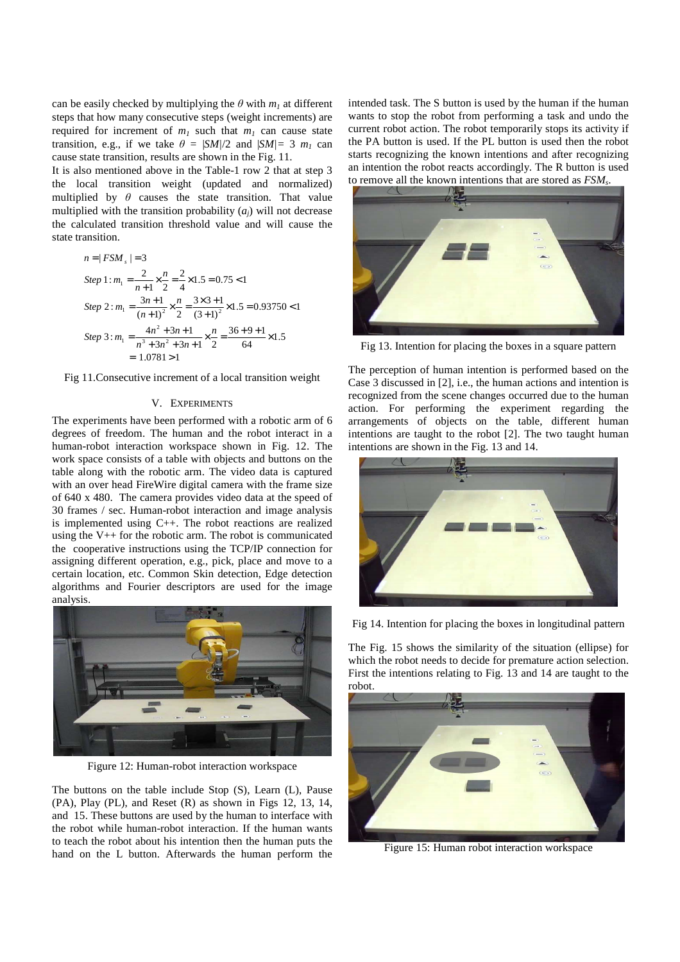can be easily checked by multiplying the  $\theta$  with  $m_l$  at different steps that how many consecutive steps (weight increments) are required for increment of  $m<sub>1</sub>$  such that  $m<sub>1</sub>$  can cause state transition, e.g., if we take  $\theta = |SM|/2$  and  $|SM|=3$   $m_1$  can cause state transition, results are shown in the Fig. 11.

It is also mentioned above in the Table-1 row 2 that at step 3 the local transition weight (updated and normalized) multiplied by  $\theta$  causes the state transition. That value multiplied with the transition probability  $(a_i)$  will not decrease the calculated transition threshold value and will cause the state transition.

$$
n = |FSM_{s}| = 3
$$
  
\nStep 1:  $m_1 = \frac{2}{n+1} \times \frac{n}{2} = \frac{2}{4} \times 1.5 = 0.75 < 1$   
\nStep 2:  $m_1 = \frac{3n+1}{(n+1)^2} \times \frac{n}{2} = \frac{3 \times 3 + 1}{(3+1)^2} \times 1.5 = 0.93750 < 1$   
\nStep 3:  $m_1 = \frac{4n^2 + 3n + 1}{n^3 + 3n^2 + 3n + 1} \times \frac{n}{2} = \frac{36+9+1}{64} \times 1.5$   
\n= 1.0781 > 1

Fig 11.Consecutive increment of a local transition weight

# V. EXPERIMENTS

The experiments have been performed with a robotic arm of 6 degrees of freedom. The human and the robot interact in a human-robot interaction workspace shown in Fig. 12. The work space consists of a table with objects and buttons on the table along with the robotic arm. The video data is captured with an over head FireWire digital camera with the frame size of 640 x 480. The camera provides video data at the speed of 30 frames / sec. Human-robot interaction and image analysis is implemented using C++. The robot reactions are realized using the V++ for the robotic arm. The robot is communicated the cooperative instructions using the TCP/IP connection for assigning different operation, e.g., pick, place and move to a certain location, etc. Common Skin detection, Edge detection algorithms and Fourier descriptors are used for the image analysis.



Figure 12: Human-robot interaction workspace

The buttons on the table include Stop (S), Learn (L), Pause (PA), Play (PL), and Reset (R) as shown in Figs 12, 13, 14, and 15. These buttons are used by the human to interface with the robot while human-robot interaction. If the human wants to teach the robot about his intention then the human puts the hand on the L button. Afterwards the human perform the

intended task. The S button is used by the human if the human wants to stop the robot from performing a task and undo the current robot action. The robot temporarily stops its activity if the PA button is used. If the PL button is used then the robot starts recognizing the known intentions and after recognizing an intention the robot reacts accordingly. The R button is used to remove all the known intentions that are stored as *FSM<sup>s</sup>* .



Fig 13. Intention for placing the boxes in a square pattern

The perception of human intention is performed based on the Case 3 discussed in [2], i.e., the human actions and intention is recognized from the scene changes occurred due to the human action. For performing the experiment regarding the arrangements of objects on the table, different human intentions are taught to the robot [2]. The two taught human intentions are shown in the Fig. 13 and 14.



Fig 14. Intention for placing the boxes in longitudinal pattern

The Fig. 15 shows the similarity of the situation (ellipse) for which the robot needs to decide for premature action selection. First the intentions relating to Fig. 13 and 14 are taught to the robot.



Figure 15: Human robot interaction workspace